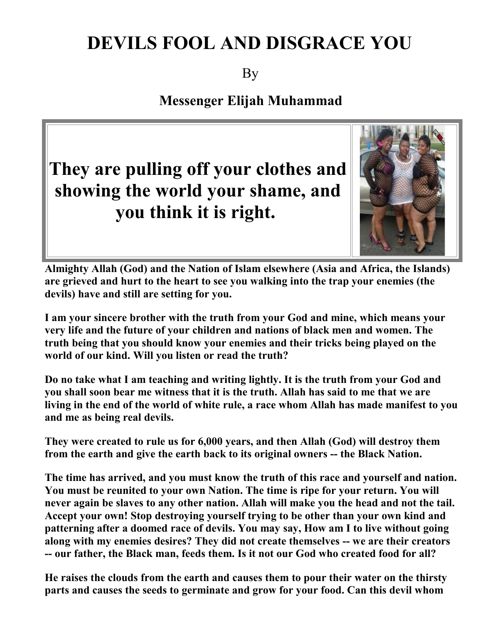## **DEVILS FOOL AND DISGRACE YOU**

By

**Messenger Elijah Muhammad**

**They are pulling off your clothes and showing the world your shame, and you think it is right.** 



**Almighty Allah (God) and the Nation of Islam elsewhere (Asia and Africa, the Islands) are grieved and hurt to the heart to see you walking into the trap your enemies (the devils) have and still are setting for you.**

**I am your sincere brother with the truth from your God and mine, which means your very life and the future of your children and nations of black men and women. The truth being that you should know your enemies and their tricks being played on the world of our kind. Will you listen or read the truth?**

**Do no take what I am teaching and writing lightly. It is the truth from your God and you shall soon bear me witness that it is the truth. Allah has said to me that we are living in the end of the world of white rule, a race whom Allah has made manifest to you and me as being real devils.**

**They were created to rule us for 6,000 years, and then Allah (God) will destroy them from the earth and give the earth back to its original owners -- the Black Nation.**

**The time has arrived, and you must know the truth of this race and yourself and nation. You must be reunited to your own Nation. The time is ripe for your return. You will never again be slaves to any other nation. Allah will make you the head and not the tail. Accept your own! Stop destroying yourself trying to be other than your own kind and patterning after a doomed race of devils. You may say, How am I to live without going along with my enemies desires? They did not create themselves -- we are their creators -- our father, the Black man, feeds them. Is it not our God who created food for all?**

**He raises the clouds from the earth and causes them to pour their water on the thirsty parts and causes the seeds to germinate and grow for your food. Can this devil whom**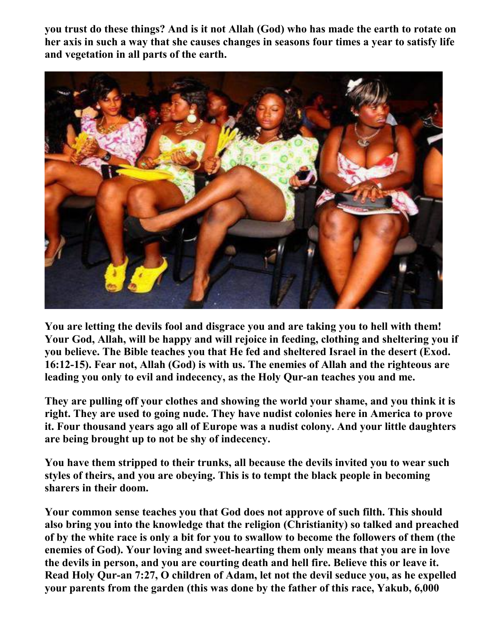**you trust do these things? And is it not Allah (God) who has made the earth to rotate on her axis in such a way that she causes changes in seasons four times a year to satisfy life and vegetation in all parts of the earth.**



**You are letting the devils fool and disgrace you and are taking you to hell with them! Your God, Allah, will be happy and will rejoice in feeding, clothing and sheltering you if you believe. The Bible teaches you that He fed and sheltered Israel in the desert (Exod. 16:12-15). Fear not, Allah (God) is with us. The enemies of Allah and the righteous are leading you only to evil and indecency, as the Holy Qur-an teaches you and me.**

**They are pulling off your clothes and showing the world your shame, and you think it is right. They are used to going nude. They have nudist colonies here in America to prove it. Four thousand years ago all of Europe was a nudist colony. And your little daughters are being brought up to not be shy of indecency.**

**You have them stripped to their trunks, all because the devils invited you to wear such styles of theirs, and you are obeying. This is to tempt the black people in becoming sharers in their doom.**

**Your common sense teaches you that God does not approve of such filth. This should also bring you into the knowledge that the religion (Christianity) so talked and preached of by the white race is only a bit for you to swallow to become the followers of them (the enemies of God). Your loving and sweet-hearting them only means that you are in love the devils in person, and you are courting death and hell fire. Believe this or leave it. Read Holy Qur-an 7:27, O children of Adam, let not the devil seduce you, as he expelled your parents from the garden (this was done by the father of this race, Yakub, 6,000**